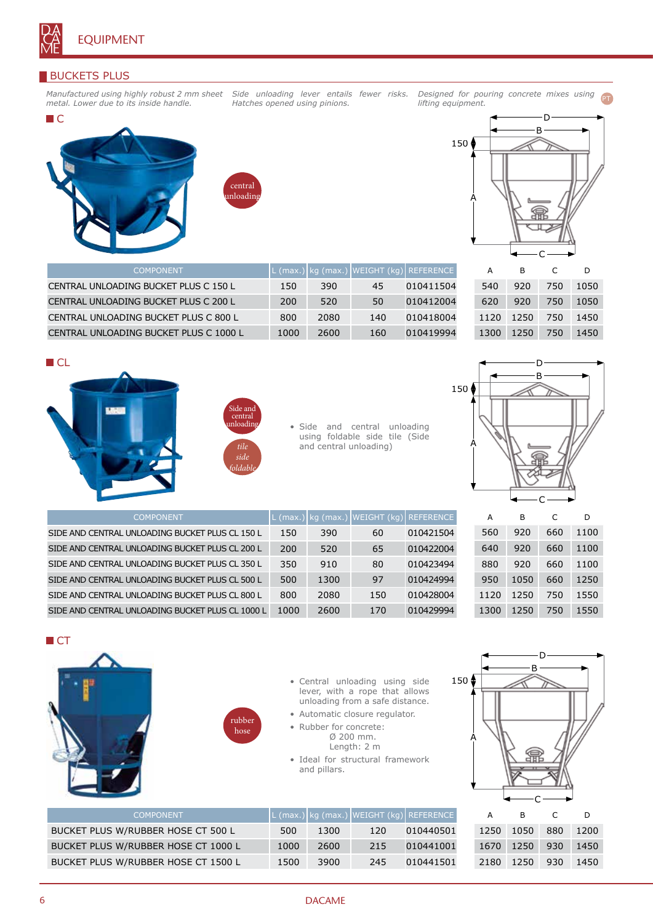

# BUCKETS PLUS

*Manufactured using highly robust 2 mm sheet metal. Lower due to its inside handle.*

*Side unloading lever entails fewer risks. Hatches opened using pinions.*

*Designed for pouring concrete mixes using lifting equipment.* PT





CENTRAL UNLOADING BUCKET PLUS C 150 L 150 390 45 010411504 CENTRAL UNLOADING BUCKET PLUS C 200 L 200 520 50 010412004 CENTRAL UNLOADING BUCKET PLUS C 800 L 800 2080 140 010418004 CENTRAL UNLOADING BUCKET PLUS C 1000 L 1000 2600 160 010419994



| А    | в    | C   | D    |
|------|------|-----|------|
| 540  | 920  | 750 | 1050 |
| 620  | 920  | 750 | 1050 |
| 1120 | 1250 | 750 | 1450 |
| 1300 | 1250 | 750 | 1450 |









| <b>COMPONENT</b>                                 |      |      | L (max.) kg (max.) WEIGHT (kg) REFERENCE |           |
|--------------------------------------------------|------|------|------------------------------------------|-----------|
| SIDE AND CENTRAL UNLOADING BUCKET PLUS CL 150 L  | 150  | 390  | 60                                       | 010421504 |
| SIDE AND CENTRAL UNLOADING BUCKET PLUS CL 200 L  | 200  | 520  | 65                                       | 010422004 |
| SIDE AND CENTRAL UNLOADING BUCKET PLUS CL 350 L  | 350  | 910  | 80                                       | 010423494 |
| SIDE AND CENTRAL UNLOADING BUCKET PLUS CL 500 L  | 500  | 1300 | 97                                       | 010424994 |
| SIDE AND CENTRAL UNLOADING BUCKET PLUS CL 800 L  | 800  | 2080 | 150                                      | 010428004 |
| SIDE AND CENTRAL UNLOADING BUCKET PLUS CL 1000 L | 1000 | 2600 | 170                                      | 010429994 |

A B C D 920 660 1100 920 660 1100 920 660 1100 1050 660 1250 1250 750 1550 1250 750 1550

**CT** 





- Central unloading using side lever, with a rope that allows unloading from a safe distance.
- Automatic closure regulator.
- Rubber for concrete: Ø 200 mm.

Length: 2 m

• Ideal for structural framework and pillars.



| <b>COMPONENT</b>                    |      |      | L (max.) kg (max.) WEIGHT (kg) REFERENCE |           |
|-------------------------------------|------|------|------------------------------------------|-----------|
| BUCKET PLUS W/RUBBER HOSE CT 500 L  | 500  | 1300 | 120                                      | 010440501 |
| BUCKET PLUS W/RUBBER HOSE CT 1000 L | 1000 | 2600 | 215                                      | 010441001 |
| BUCKET PLUS W/RUBBER HOSE CT 1500 L | 1500 | 3900 | 245                                      | 010441501 |

| А    | в    | C   | D    |
|------|------|-----|------|
| 1250 | 1050 | 880 | 1200 |
| 1670 | 1250 | 930 | 1450 |
| 2180 | 1250 | 930 | 1450 |
|      |      |     |      |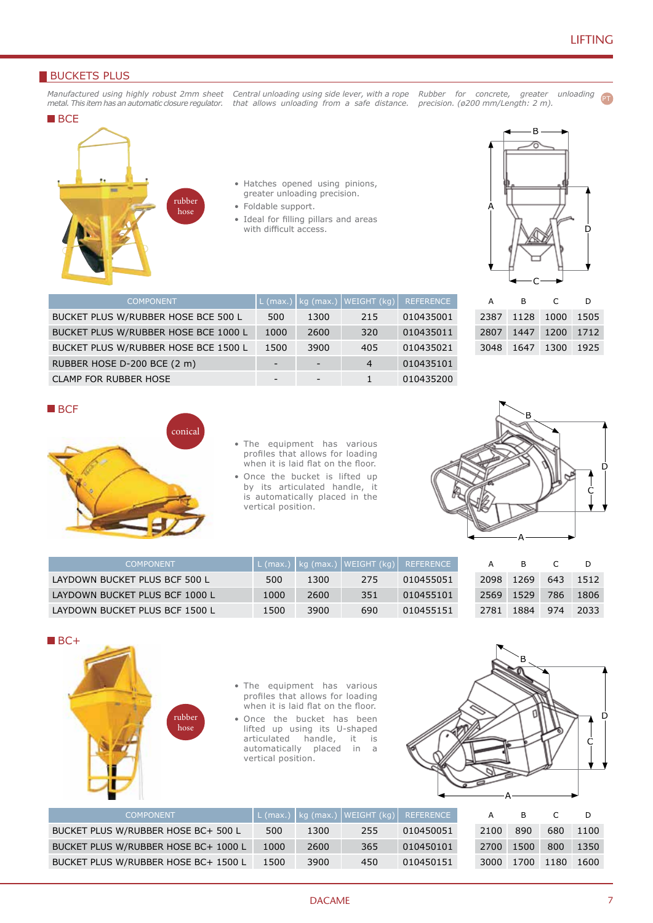PT

## **BUCKETS PLUS**

*Manufactured using highly robust 2mm sheet metal. This item has an automatic closure regulator. that allows unloading from a safe distance. precision. (ø200 mm/Length: 2 m).*

*Central unloading using side lever, with a rope Rubber for concrete, greater unloading* 



- Hatches opened using pinions, greater unloading precision.
- Foldable support.

BUCKET PLUS W/RUBBER HOSE BCE 500 L 500 1300 215 010435001 BUCKET PLUS W/RUBBER HOSE BCE 1000 L 1000 2600 320 010435011 BUCKET PLUS W/RUBBER HOSE BCE 1500 L 1500 3900 405 010435021 RUBBER HOSE D-200 BCE (2 m)  $\qquad \qquad$  - 4 010435101 CLAMP FOR RUBBER HOSE  $\begin{array}{cccc} - & - & - & 1 & 010435200 \end{array}$ 

• Ideal for filling pillars and areas with difficult access.



| A | <sub>B</sub>        | $\mathsf{C}$ | D |
|---|---------------------|--------------|---|
|   | 2387 1128 1000 1505 |              |   |
|   | 2807 1447 1200 1712 |              |   |
|   | 3048 1647 1300 1925 |              |   |
|   |                     |              |   |

#### **BCF**



- The equipment has various profiles that allows for loading when it is laid flat on the floor.
- Once the bucket is lifted up by its articulated handle, it is automatically placed in the vertical position.



| <b>COMPONENT</b>               |      |      | L (max.)   kg (max.)   WEIGHT (kg)   ' | REFERENCE |      |      |     |      |
|--------------------------------|------|------|----------------------------------------|-----------|------|------|-----|------|
| LAYDOWN BUCKET PLUS BCF 500 L  | 500  | 1300 | 275                                    | 010455051 | 2098 | 1269 | 643 | 1512 |
| LAYDOWN BUCKET PLUS BCF 1000 L | 1000 | 2600 | 351                                    | 010455101 | 2569 | 1529 | 786 | 1806 |
| LAYDOWN BUCKET PLUS BCF 1500 L | 1500 | 3900 | 690                                    | 010455151 | 2781 | 1884 | 974 | 2033 |

 $\blacksquare$ BC+



- The equipment has various profiles that allows for loading when it is laid flat on the floor.
- Once the bucket has been lifted up using its U-shaped<br>articulated handle, it is articulated automatically placed in a vertical position.



| <b>COMPONENT</b>                     |      |      | L (max.)   kg (max.)   WEIGHT (kg) $\vert$ | REFERENCE |      | в    |      |      |
|--------------------------------------|------|------|--------------------------------------------|-----------|------|------|------|------|
| BUCKET PLUS W/RUBBER HOSE BC+ 500 L  | 500  | 1300 | 255                                        | 010450051 | 2100 | 890  | 680  | 1100 |
| BUCKET PLUS W/RUBBER HOSE BC+ 1000 L | 1000 | 2600 | 365                                        | 010450101 | 2700 | 1500 | 800  | 1350 |
| BUCKET PLUS W/RUBBER HOSE BC+ 1500 L | 1500 | 3900 | 450                                        | 010450151 | 3000 | 1700 | 1180 | 1600 |